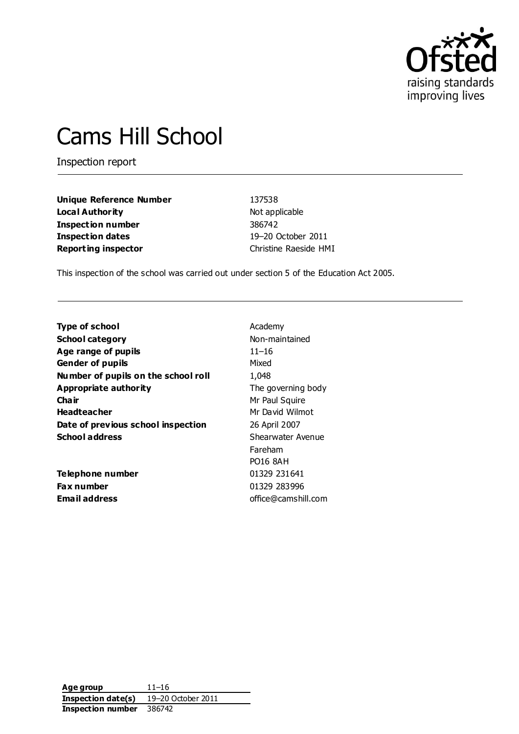

# Cams Hill School

Inspection report

**Unique Reference Number** 137538 **Local Authority** Not applicable **Inspection number** 386742 **Inspection dates** 19–20 October 2011 **Reporting inspector** Christine Raeside HMI

This inspection of the school was carried out under section 5 of the Education Act 2005.

| <b>Type of school</b>               | Academy             |
|-------------------------------------|---------------------|
| <b>School category</b>              | Non-maintained      |
| Age range of pupils                 | $11 - 16$           |
| <b>Gender of pupils</b>             | Mixed               |
| Number of pupils on the school roll | 1,048               |
| Appropriate authority               | The governing body  |
| Cha ir                              | Mr Paul Squire      |
| <b>Headteacher</b>                  | Mr David Wilmot     |
| Date of previous school inspection  | 26 April 2007       |
| <b>School address</b>               | Shearwater Avenue   |
|                                     | Fareham             |
|                                     | PO16 8AH            |
| <b>Telephone number</b>             | 01329 231641        |
| <b>Fax number</b>                   | 01329 283996        |
| Email address                       | office@camshill.com |

**Age group** 11–16 **Inspection date(s)** 19–20 October 2011 **Inspection number** 386742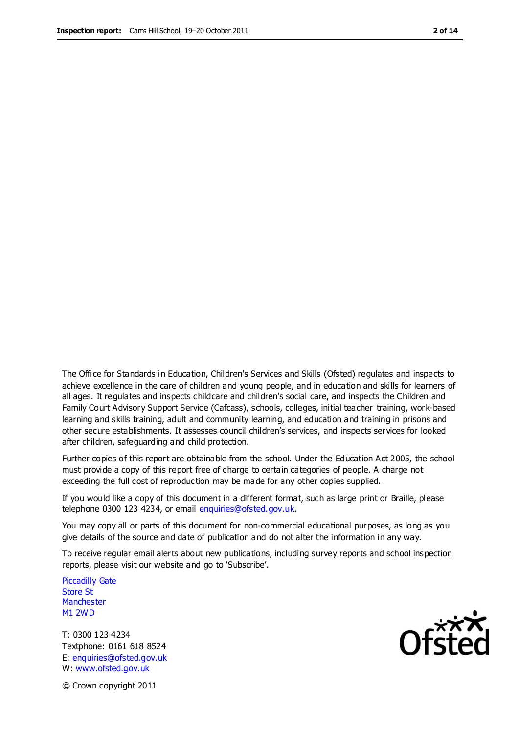The Office for Standards in Education, Children's Services and Skills (Ofsted) regulates and inspects to achieve excellence in the care of children and young people, and in education and skills for learners of all ages. It regulates and inspects childcare and children's social care, and inspects the Children and Family Court Advisory Support Service (Cafcass), schools, colleges, initial teacher training, work-based learning and skills training, adult and community learning, and education and training in prisons and other secure establishments. It assesses council children's services, and inspects services for looked after children, safeguarding and child protection.

Further copies of this report are obtainable from the school. Under the Education Act 2005, the school must provide a copy of this report free of charge to certain categories of people. A charge not exceeding the full cost of reproduction may be made for any other copies supplied.

If you would like a copy of this document in a different format, such as large print or Braille, please telephone 0300 123 4234, or email enquiries@ofsted.gov.uk.

You may copy all or parts of this document for non-commercial educational purposes, as long as you give details of the source and date of publication and do not alter the information in any way.

To receive regular email alerts about new publications, including survey reports and school inspection reports, please visit our website and go to 'Subscribe'.

Piccadilly Gate Store St **Manchester** M1 2WD

T: 0300 123 4234 Textphone: 0161 618 8524 E: enquiries@ofsted.gov.uk W: www.ofsted.gov.uk

**Ofsted** 

© Crown copyright 2011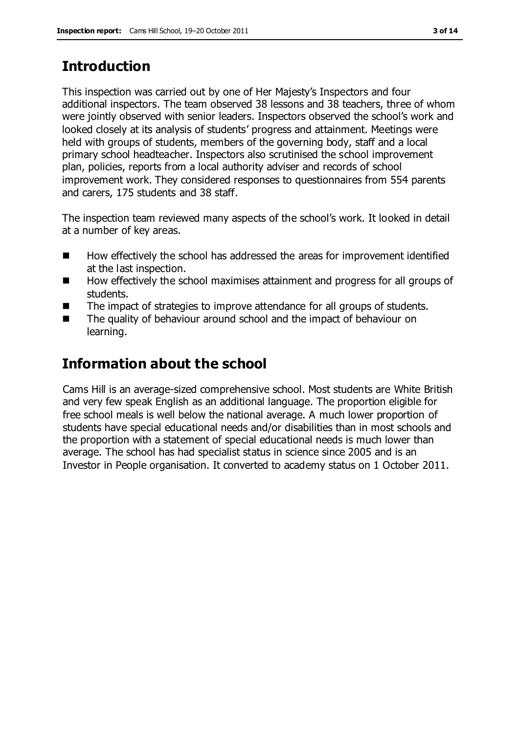## **Introduction**

This inspection was carried out by one of Her Majesty's Inspectors and four additional inspectors. The team observed 38 lessons and 38 teachers, three of whom were jointly observed with senior leaders. Inspectors observed the school's work and looked closely at its analysis of students' progress and attainment. Meetings were held with groups of students, members of the governing body, staff and a local primary school headteacher. Inspectors also scrutinised the school improvement plan, policies, reports from a local authority adviser and records of school improvement work. They considered responses to questionnaires from 554 parents and carers, 175 students and 38 staff.

The inspection team reviewed many aspects of the school's work. It looked in detail at a number of key areas.

- How effectively the school has addressed the areas for improvement identified at the last inspection.
- How effectively the school maximises attainment and progress for all groups of students.
- The impact of strategies to improve attendance for all groups of students.
- The quality of behaviour around school and the impact of behaviour on learning.

# **Information about the school**

Cams Hill is an average-sized comprehensive school. Most students are White British and very few speak English as an additional language. The proportion eligible for free school meals is well below the national average. A much lower proportion of students have special educational needs and/or disabilities than in most schools and the proportion with a statement of special educational needs is much lower than average. The school has had specialist status in science since 2005 and is an Investor in People organisation. It converted to academy status on 1 October 2011.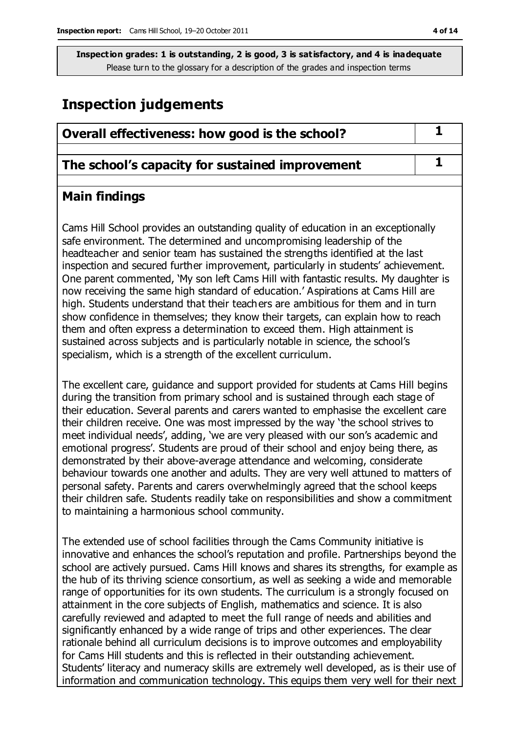## **Inspection judgements**

| Overall effectiveness: how good is the school?                                                                                                                                                                                                                                                                                                                                                                                                                                                                                                                                                                                                                                        |  |
|---------------------------------------------------------------------------------------------------------------------------------------------------------------------------------------------------------------------------------------------------------------------------------------------------------------------------------------------------------------------------------------------------------------------------------------------------------------------------------------------------------------------------------------------------------------------------------------------------------------------------------------------------------------------------------------|--|
| The school's capacity for sustained improvement                                                                                                                                                                                                                                                                                                                                                                                                                                                                                                                                                                                                                                       |  |
| <b>Main findings</b>                                                                                                                                                                                                                                                                                                                                                                                                                                                                                                                                                                                                                                                                  |  |
| Cams Hill School provides an outstanding quality of education in an exceptionally<br>safe environment. The determined and uncompromising leadership of the<br>headteacher and senior team has sustained the strengths identified at the last<br>inspection and secured further improvement, particularly in students' achievement.<br>One parent commented, 'My son left Cams Hill with fantastic results. My daughter is<br>now receiving the same high standard of education.' Aspirations at Cams Hill are<br>high. Students understand that their teachers are ambitious for them and in turn<br>show confidence in themselves; they know their targets, can explain how to reach |  |

sustained across subjects and is particularly notable in science, the school's specialism, which is a strength of the excellent curriculum. The excellent care, guidance and support provided for students at Cams Hill begins during the transition from primary school and is sustained through each stage of their education. Several parents and carers wanted to emphasise the excellent care their children receive. One was most impressed by the way 'the school strives to meet individual needs', adding, 'we are very pleased with our son's academic and emotional progress'. Students are proud of their school and enjoy being there, as demonstrated by their above-average attendance and welcoming, considerate behaviour towards one another and adults. They are very well attuned to matters of personal safety. Parents and carers overwhelmingly agreed that the school keeps their children safe. Students readily take on responsibilities and show a commitment to maintaining a harmonious school community.

them and often express a determination to exceed them. High attainment is

The extended use of school facilities through the Cams Community initiative is innovative and enhances the school's reputation and profile. Partnerships beyond the school are actively pursued. Cams Hill knows and shares its strengths, for example as the hub of its thriving science consortium, as well as seeking a wide and memorable range of opportunities for its own students. The curriculum is a strongly focused on attainment in the core subjects of English, mathematics and science. It is also carefully reviewed and adapted to meet the full range of needs and abilities and significantly enhanced by a wide range of trips and other experiences. The clear rationale behind all curriculum decisions is to improve outcomes and employability for Cams Hill students and this is reflected in their outstanding achievement. Students' literacy and numeracy skills are extremely well developed, as is their use of information and communication technology. This equips them very well for their next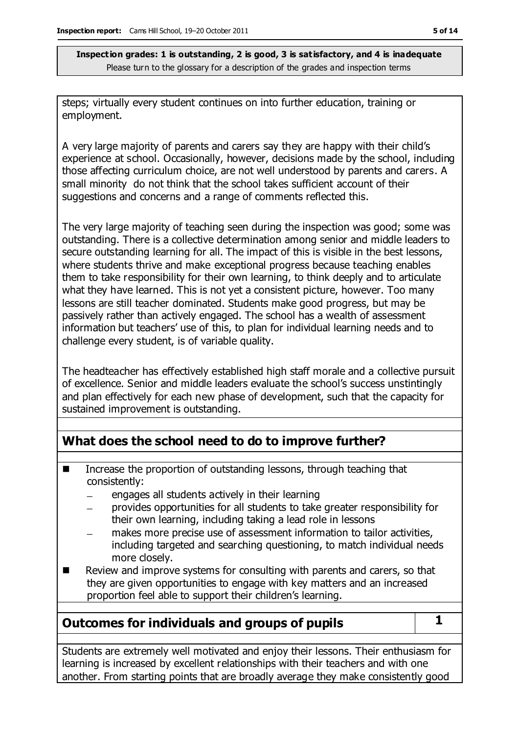steps; virtually every student continues on into further education, training or employment.

A very large majority of parents and carers say they are happy with their child's experience at school. Occasionally, however, decisions made by the school, including those affecting curriculum choice, are not well understood by parents and carers. A small minority do not think that the school takes sufficient account of their suggestions and concerns and a range of comments reflected this.

The very large majority of teaching seen during the inspection was good; some was outstanding. There is a collective determination among senior and middle leaders to secure outstanding learning for all. The impact of this is visible in the best lessons, where students thrive and make exceptional progress because teaching enables them to take responsibility for their own learning, to think deeply and to articulate what they have learned. This is not yet a consistent picture, however. Too many lessons are still teacher dominated. Students make good progress, but may be passively rather than actively engaged. The school has a wealth of assessment information but teachers' use of this, to plan for individual learning needs and to challenge every student, is of variable quality.

The headteacher has effectively established high staff morale and a collective pursuit of excellence. Senior and middle leaders evaluate the school's success unstintingly and plan effectively for each new phase of development, such that the capacity for sustained improvement is outstanding.

## **What does the school need to do to improve further?**

- Increase the proportion of outstanding lessons, through teaching that consistently:
	- engages all students actively in their learning  $\equiv$
	- provides opportunities for all students to take greater responsibility for their own learning, including taking a lead role in lessons
	- makes more precise use of assessment information to tailor activities, including targeted and searching questioning, to match individual needs more closely.
- Review and improve systems for consulting with parents and carers, so that they are given opportunities to engage with key matters and an increased proportion feel able to support their children's learning.

## **Outcomes for individuals and groups of pupils 1**

Students are extremely well motivated and enjoy their lessons. Their enthusiasm for learning is increased by excellent relationships with their teachers and with one another. From starting points that are broadly average they make consistently good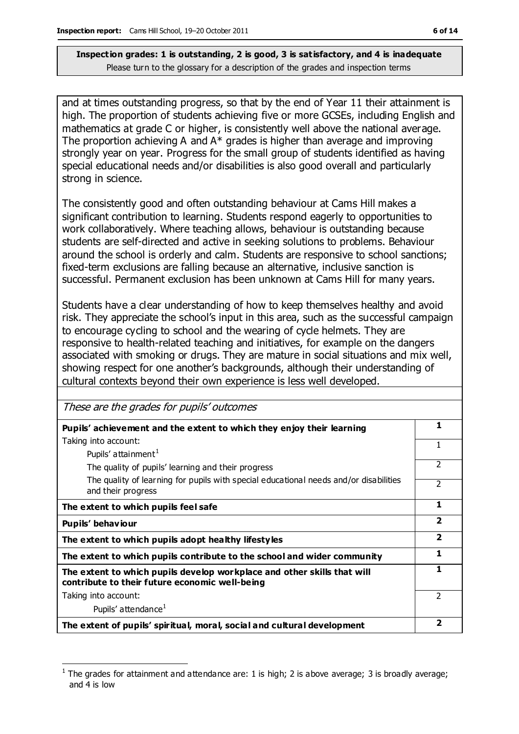and at times outstanding progress, so that by the end of Year 11 their attainment is high. The proportion of students achieving five or more GCSEs, including English and mathematics at grade C or higher, is consistently well above the national average. The proportion achieving A and A\* grades is higher than average and improving strongly year on year. Progress for the small group of students identified as having special educational needs and/or disabilities is also good overall and particularly strong in science.

The consistently good and often outstanding behaviour at Cams Hill makes a significant contribution to learning. Students respond eagerly to opportunities to work collaboratively. Where teaching allows, behaviour is outstanding because students are self-directed and active in seeking solutions to problems. Behaviour around the school is orderly and calm. Students are responsive to school sanctions; fixed-term exclusions are falling because an alternative, inclusive sanction is successful. Permanent exclusion has been unknown at Cams Hill for many years.

Students have a clear understanding of how to keep themselves healthy and avoid risk. They appreciate the school's input in this area, such as the successful campaign to encourage cycling to school and the wearing of cycle helmets. They are responsive to health-related teaching and initiatives, for example on the dangers associated with smoking or drugs. They are mature in social situations and mix well, showing respect for one another's backgrounds, although their understanding of cultural contexts beyond their own experience is less well developed.

| These are the grades for pupils' outcomes                                                                                 |                         |
|---------------------------------------------------------------------------------------------------------------------------|-------------------------|
| Pupils' achievement and the extent to which they enjoy their learning                                                     | 1                       |
| Taking into account:                                                                                                      | 1                       |
| Pupils' attainment <sup>1</sup>                                                                                           |                         |
| The quality of pupils' learning and their progress                                                                        | $\mathfrak{p}$          |
| The quality of learning for pupils with special educational needs and/or disabilities<br>and their progress               | $\mathfrak{p}$          |
| The extent to which pupils feel safe                                                                                      | 1                       |
| Pupils' behaviour                                                                                                         | $\overline{2}$          |
| The extent to which pupils adopt healthy lifestyles                                                                       | $\overline{\mathbf{2}}$ |
| The extent to which pupils contribute to the school and wider community                                                   | 1                       |
| The extent to which pupils develop workplace and other skills that will<br>contribute to their future economic well-being | 1                       |
| Taking into account:                                                                                                      | $\mathcal{P}$           |
| Pupils' attendance <sup>1</sup>                                                                                           |                         |
| The extent of pupils' spiritual, moral, social and cultural development                                                   | 2                       |

 $\overline{a}$ 1 The grades for attainment and attendance are: 1 is high; 2 is above average; 3 is broadly average; and 4 is low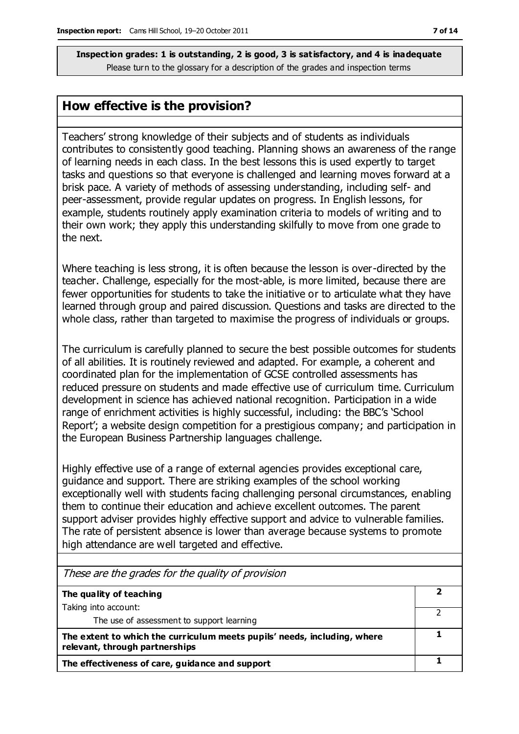#### **How effective is the provision?**

Teachers' strong knowledge of their subjects and of students as individuals contributes to consistently good teaching. Planning shows an awareness of the range of learning needs in each class. In the best lessons this is used expertly to target tasks and questions so that everyone is challenged and learning moves forward at a brisk pace. A variety of methods of assessing understanding, including self- and peer-assessment, provide regular updates on progress. In English lessons, for example, students routinely apply examination criteria to models of writing and to their own work; they apply this understanding skilfully to move from one grade to the next.

Where teaching is less strong, it is often because the lesson is over-directed by the teacher. Challenge, especially for the most-able, is more limited, because there are fewer opportunities for students to take the initiative or to articulate what they have learned through group and paired discussion. Questions and tasks are directed to the whole class, rather than targeted to maximise the progress of individuals or groups.

The curriculum is carefully planned to secure the best possible outcomes for students of all abilities. It is routinely reviewed and adapted. For example, a coherent and coordinated plan for the implementation of GCSE controlled assessments has reduced pressure on students and made effective use of curriculum time. Curriculum development in science has achieved national recognition. Participation in a wide range of enrichment activities is highly successful, including: the BBC's 'School Report'; a website design competition for a prestigious company; and participation in the European Business Partnership languages challenge.

Highly effective use of a range of external agencies provides exceptional care, guidance and support. There are striking examples of the school working exceptionally well with students facing challenging personal circumstances, enabling them to continue their education and achieve excellent outcomes. The parent support adviser provides highly effective support and advice to vulnerable families. The rate of persistent absence is lower than average because systems to promote high attendance are well targeted and effective.

| These are the grades for the quality of provision                                                          |  |
|------------------------------------------------------------------------------------------------------------|--|
| The quality of teaching                                                                                    |  |
| Taking into account:                                                                                       |  |
| The use of assessment to support learning                                                                  |  |
| The extent to which the curriculum meets pupils' needs, including, where<br>relevant, through partnerships |  |
| The effectiveness of care, guidance and support                                                            |  |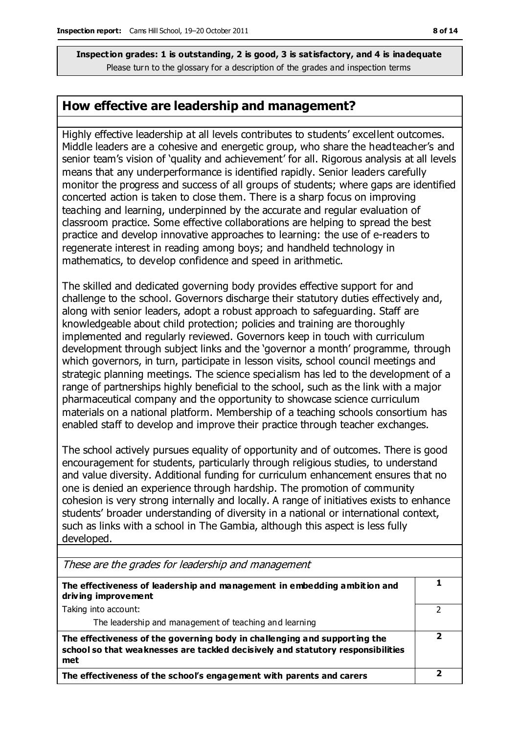### **How effective are leadership and management?**

Highly effective leadership at all levels contributes to students' excellent outcomes. Middle leaders are a cohesive and energetic group, who share the headteacher's and senior team's vision of 'quality and achievement' for all. Rigorous analysis at all levels means that any underperformance is identified rapidly. Senior leaders carefully monitor the progress and success of all groups of students; where gaps are identified concerted action is taken to close them. There is a sharp focus on improving teaching and learning, underpinned by the accurate and regular evaluation of classroom practice. Some effective collaborations are helping to spread the best practice and develop innovative approaches to learning: the use of e-readers to regenerate interest in reading among boys; and handheld technology in mathematics, to develop confidence and speed in arithmetic.

The skilled and dedicated governing body provides effective support for and challenge to the school. Governors discharge their statutory duties effectively and, along with senior leaders, adopt a robust approach to safeguarding. Staff are knowledgeable about child protection; policies and training are thoroughly implemented and regularly reviewed. Governors keep in touch with curriculum development through subject links and the 'governor a month' programme, through which governors, in turn, participate in lesson visits, school council meetings and strategic planning meetings. The science specialism has led to the development of a range of partnerships highly beneficial to the school, such as the link with a major pharmaceutical company and the opportunity to showcase science curriculum materials on a national platform. Membership of a teaching schools consortium has enabled staff to develop and improve their practice through teacher exchanges.

The school actively pursues equality of opportunity and of outcomes. There is good encouragement for students, particularly through religious studies, to understand and value diversity. Additional funding for curriculum enhancement ensures that no one is denied an experience through hardship. The promotion of community cohesion is very strong internally and locally. A range of initiatives exists to enhance students' broader understanding of diversity in a national or international context, such as links with a school in The Gambia, although this aspect is less fully developed.

| These are the grades for leadership and management                                                                                                                  |  |
|---------------------------------------------------------------------------------------------------------------------------------------------------------------------|--|
| The effectiveness of leadership and management in embedding ambition and<br>driving improvement                                                                     |  |
| Taking into account:                                                                                                                                                |  |
| The leadership and management of teaching and learning                                                                                                              |  |
| The effectiveness of the governing body in challenging and supporting the<br>school so that weaknesses are tackled decisively and statutory responsibilities<br>met |  |
| The effectiveness of the school's engagement with parents and carers                                                                                                |  |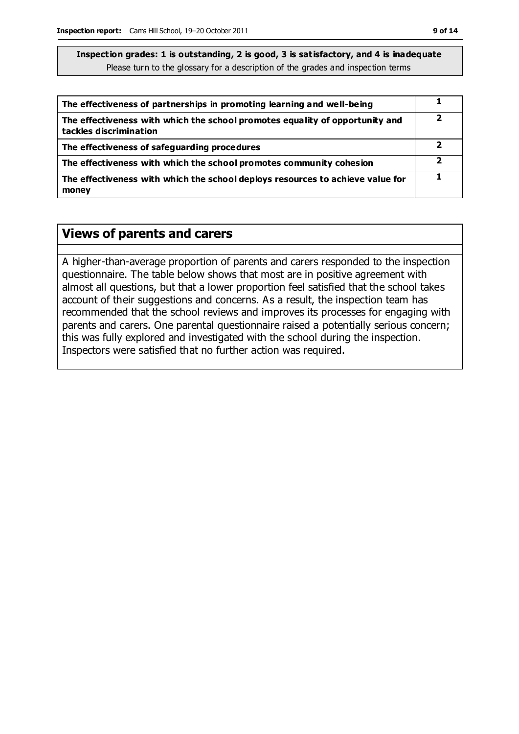| The effectiveness of partnerships in promoting learning and well-being                                 |   |
|--------------------------------------------------------------------------------------------------------|---|
| The effectiveness with which the school promotes equality of opportunity and<br>tackles discrimination | כ |
| The effectiveness of safeguarding procedures                                                           |   |
| The effectiveness with which the school promotes community cohesion                                    |   |
| The effectiveness with which the school deploys resources to achieve value for<br>money                |   |

### **Views of parents and carers**

A higher-than-average proportion of parents and carers responded to the inspection questionnaire. The table below shows that most are in positive agreement with almost all questions, but that a lower proportion feel satisfied that the school takes account of their suggestions and concerns. As a result, the inspection team has recommended that the school reviews and improves its processes for engaging with parents and carers. One parental questionnaire raised a potentially serious concern; this was fully explored and investigated with the school during the inspection. Inspectors were satisfied that no further action was required.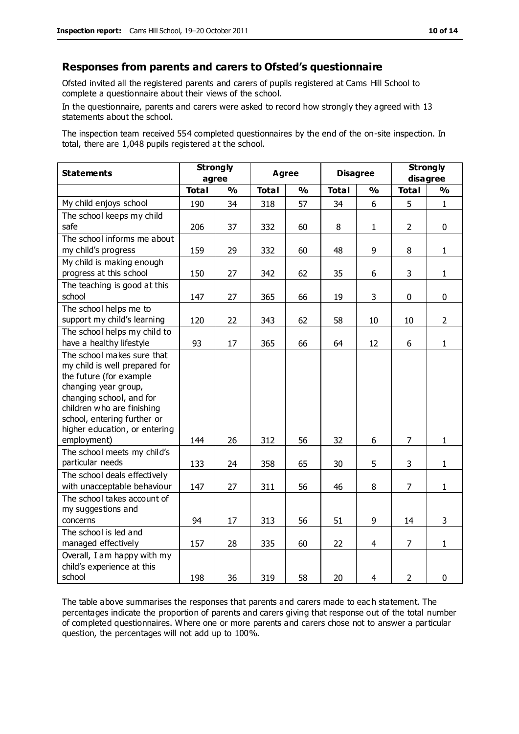#### **Responses from parents and carers to Ofsted's questionnaire**

Ofsted invited all the registered parents and carers of pupils registered at Cams Hill School to complete a questionnaire about their views of the school.

In the questionnaire, parents and carers were asked to record how strongly they agreed with 13 statements about the school.

The inspection team received 554 completed questionnaires by the end of the on-site inspection. In total, there are 1,048 pupils registered at the school.

| <b>Strongly</b><br><b>Statements</b>                                                                                                                                                                                                                    |              | <b>Agree</b>  |              | <b>Disagree</b> |              | <b>Strongly</b>         |                |                |
|---------------------------------------------------------------------------------------------------------------------------------------------------------------------------------------------------------------------------------------------------------|--------------|---------------|--------------|-----------------|--------------|-------------------------|----------------|----------------|
|                                                                                                                                                                                                                                                         | agree        |               |              |                 |              |                         | disagree       |                |
|                                                                                                                                                                                                                                                         | <b>Total</b> | $\frac{0}{0}$ | <b>Total</b> | $\frac{0}{0}$   | <b>Total</b> | $\mathbf{O}_\mathbf{O}$ | <b>Total</b>   | $\frac{0}{0}$  |
| My child enjoys school                                                                                                                                                                                                                                  | 190          | 34            | 318          | 57              | 34           | 6                       | 5              | $\mathbf{1}$   |
| The school keeps my child<br>safe                                                                                                                                                                                                                       | 206          | 37            | 332          | 60              | 8            | $\mathbf{1}$            | $\overline{2}$ | $\mathbf 0$    |
| The school informs me about<br>my child's progress                                                                                                                                                                                                      | 159          | 29            | 332          | 60              | 48           | 9                       | 8              | $\mathbf{1}$   |
| My child is making enough<br>progress at this school                                                                                                                                                                                                    | 150          | 27            | 342          | 62              | 35           | 6                       | 3              | $\mathbf{1}$   |
| The teaching is good at this<br>school                                                                                                                                                                                                                  | 147          | 27            | 365          | 66              | 19           | 3                       | $\mathbf 0$    | $\mathbf 0$    |
| The school helps me to<br>support my child's learning                                                                                                                                                                                                   | 120          | 22            | 343          | 62              | 58           | 10                      | 10             | $\overline{2}$ |
| The school helps my child to<br>have a healthy lifestyle                                                                                                                                                                                                | 93           | 17            | 365          | 66              | 64           | 12                      | 6              | $\mathbf{1}$   |
| The school makes sure that<br>my child is well prepared for<br>the future (for example<br>changing year group,<br>changing school, and for<br>children who are finishing<br>school, entering further or<br>higher education, or entering<br>employment) | 144          | 26            | 312          | 56              | 32           | 6                       | $\overline{7}$ | $\mathbf{1}$   |
| The school meets my child's<br>particular needs                                                                                                                                                                                                         | 133          | 24            | 358          | 65              | 30           | 5                       | 3              | $\mathbf{1}$   |
| The school deals effectively<br>with unacceptable behaviour                                                                                                                                                                                             | 147          | 27            | 311          | 56              | 46           | 8                       | $\overline{7}$ | $\mathbf{1}$   |
| The school takes account of<br>my suggestions and<br>concerns                                                                                                                                                                                           | 94           | 17            | 313          | 56              | 51           | 9                       | 14             | 3              |
| The school is led and<br>managed effectively                                                                                                                                                                                                            | 157          | 28            | 335          | 60              | 22           | 4                       | $\overline{7}$ | $\mathbf{1}$   |
| Overall, I am happy with my<br>child's experience at this<br>school                                                                                                                                                                                     | 198          | 36            | 319          | 58              | 20           | $\overline{4}$          | $\overline{2}$ | $\mathbf 0$    |

The table above summarises the responses that parents and carers made to eac h statement. The percentages indicate the proportion of parents and carers giving that response out of the total number of completed questionnaires. Where one or more parents and carers chose not to answer a particular question, the percentages will not add up to 100%.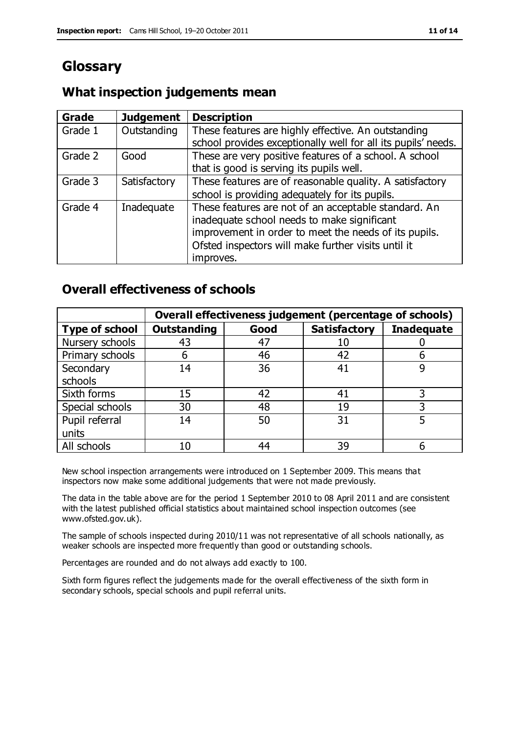# **Glossary**

#### **What inspection judgements mean**

| Grade   | <b>Judgement</b> | <b>Description</b>                                            |
|---------|------------------|---------------------------------------------------------------|
| Grade 1 | Outstanding      | These features are highly effective. An outstanding           |
|         |                  | school provides exceptionally well for all its pupils' needs. |
| Grade 2 | Good             | These are very positive features of a school. A school        |
|         |                  | that is good is serving its pupils well.                      |
| Grade 3 | Satisfactory     | These features are of reasonable quality. A satisfactory      |
|         |                  | school is providing adequately for its pupils.                |
| Grade 4 | Inadequate       | These features are not of an acceptable standard. An          |
|         |                  | inadequate school needs to make significant                   |
|         |                  | improvement in order to meet the needs of its pupils.         |
|         |                  | Ofsted inspectors will make further visits until it           |
|         |                  | improves.                                                     |

### **Overall effectiveness of schools**

|                       |                    |      | Overall effectiveness judgement (percentage of schools) |                   |
|-----------------------|--------------------|------|---------------------------------------------------------|-------------------|
| <b>Type of school</b> | <b>Outstanding</b> | Good | <b>Satisfactory</b>                                     | <b>Inadequate</b> |
| Nursery schools       | 43                 | 47   | 10                                                      |                   |
| Primary schools       | 6                  | 46   | 42                                                      |                   |
| Secondary             | 14                 | 36   | 41                                                      |                   |
| schools               |                    |      |                                                         |                   |
| Sixth forms           | 15                 | 42   | 41                                                      | 3                 |
| Special schools       | 30                 | 48   | 19                                                      |                   |
| Pupil referral        | 14                 | 50   | 31                                                      |                   |
| units                 |                    |      |                                                         |                   |
| All schools           | 10                 | 44   | 39                                                      |                   |

New school inspection arrangements were introduced on 1 September 2009. This means that inspectors now make some additional judgements that were not made previously.

The data in the table above are for the period 1 September 2010 to 08 April 2011 and are consistent with the latest published official statistics about maintained school inspection outcomes (see www.ofsted.gov.uk).

The sample of schools inspected during 2010/11 was not representative of all schools nationally, as weaker schools are inspected more frequently than good or outstanding schools.

Percentages are rounded and do not always add exactly to 100.

Sixth form figures reflect the judgements made for the overall effectiveness of the sixth form in secondary schools, special schools and pupil referral units.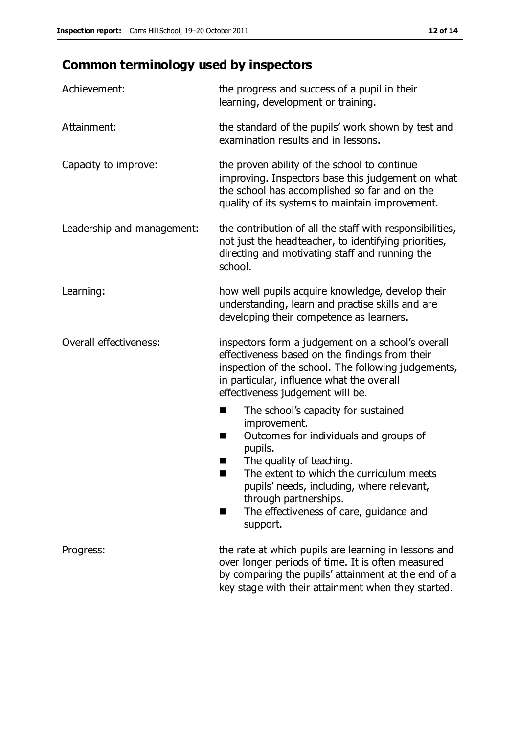# **Common terminology used by inspectors**

| Achievement:               | the progress and success of a pupil in their<br>learning, development or training.                                                                                                                                                                                                                                             |  |  |
|----------------------------|--------------------------------------------------------------------------------------------------------------------------------------------------------------------------------------------------------------------------------------------------------------------------------------------------------------------------------|--|--|
| Attainment:                | the standard of the pupils' work shown by test and<br>examination results and in lessons.                                                                                                                                                                                                                                      |  |  |
| Capacity to improve:       | the proven ability of the school to continue<br>improving. Inspectors base this judgement on what<br>the school has accomplished so far and on the<br>quality of its systems to maintain improvement.                                                                                                                          |  |  |
| Leadership and management: | the contribution of all the staff with responsibilities,<br>not just the headteacher, to identifying priorities,<br>directing and motivating staff and running the<br>school.                                                                                                                                                  |  |  |
| Learning:                  | how well pupils acquire knowledge, develop their<br>understanding, learn and practise skills and are<br>developing their competence as learners.                                                                                                                                                                               |  |  |
| Overall effectiveness:     | inspectors form a judgement on a school's overall<br>effectiveness based on the findings from their<br>inspection of the school. The following judgements,<br>in particular, influence what the overall<br>effectiveness judgement will be.                                                                                    |  |  |
|                            | The school's capacity for sustained<br>improvement.<br>Outcomes for individuals and groups of<br>ш<br>pupils.<br>The quality of teaching.<br>The extent to which the curriculum meets<br>a s<br>pupils' needs, including, where relevant,<br>through partnerships.<br>The effectiveness of care, guidance and<br>■<br>support. |  |  |
| Progress:                  | the rate at which pupils are learning in lessons and<br>over longer periods of time. It is often measured<br>by comparing the pupils' attainment at the end of a<br>key stage with their attainment when they started.                                                                                                         |  |  |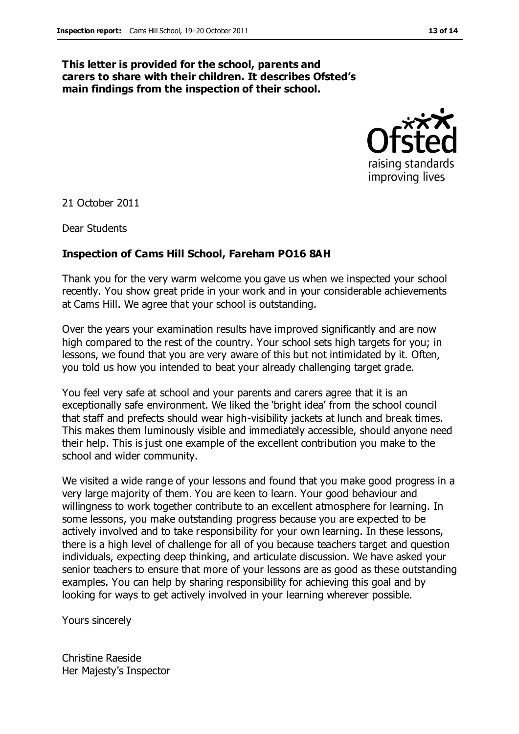#### **This letter is provided for the school, parents and carers to share with their children. It describes Ofsted's main findings from the inspection of their school.**



21 October 2011

Dear Students

#### **Inspection of Cams Hill School, Fareham PO16 8AH**

Thank you for the very warm welcome you gave us when we inspected your school recently. You show great pride in your work and in your considerable achievements at Cams Hill. We agree that your school is outstanding.

Over the years your examination results have improved significantly and are now high compared to the rest of the country. Your school sets high targets for you; in lessons, we found that you are very aware of this but not intimidated by it. Often, you told us how you intended to beat your already challenging target grade.

You feel very safe at school and your parents and carers agree that it is an exceptionally safe environment. We liked the 'bright idea' from the school council that staff and prefects should wear high-visibility jackets at lunch and break times. This makes them luminously visible and immediately accessible, should anyone need their help. This is just one example of the excellent contribution you make to the school and wider community.

We visited a wide range of your lessons and found that you make good progress in a very large majority of them. You are keen to learn. Your good behaviour and willingness to work together contribute to an excellent atmosphere for learning. In some lessons, you make outstanding progress because you are expected to be actively involved and to take responsibility for your own learning. In these lessons, there is a high level of challenge for all of you because teachers target and question individuals, expecting deep thinking, and articulate discussion. We have asked your senior teachers to ensure that more of your lessons are as good as these outstanding examples. You can help by sharing responsibility for achieving this goal and by looking for ways to get actively involved in your learning wherever possible.

Yours sincerely

Christine Raeside Her Majesty's Inspector